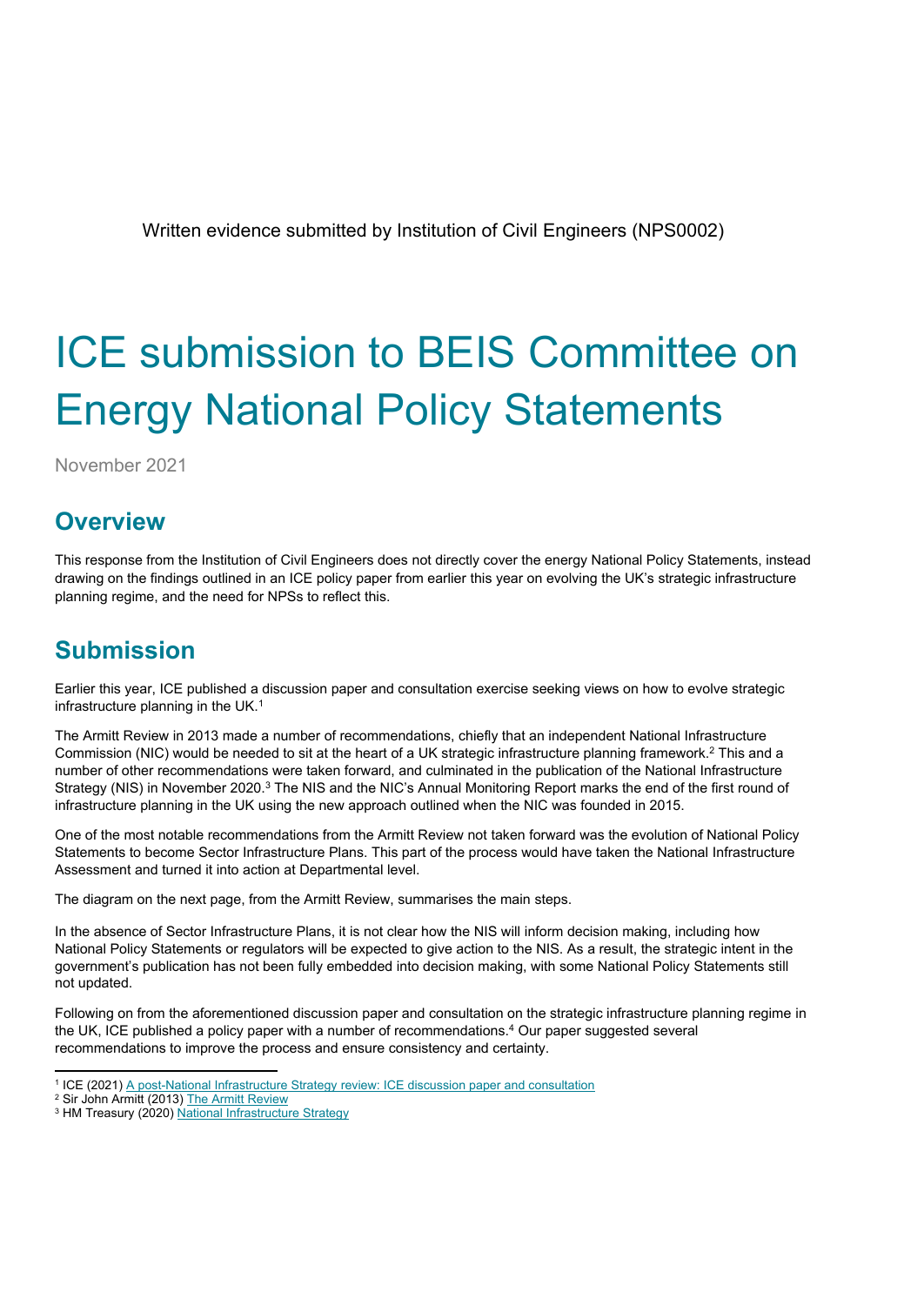Written evidence submitted by Institution of Civil Engineers (NPS0002)

# ICE submission to BEIS Committee on Energy National Policy Statements

November 2021

## **Overview**

This response from the Institution of Civil Engineers does not directly cover the energy National Policy Statements, instead drawing on the findings outlined in an ICE policy paper from earlier this year on evolving the UK's strategic infrastructure planning regime, and the need for NPSs to reflect this.

## **Submission**

Earlier this year, ICE published a discussion paper and consultation exercise seeking views on how to evolve strategic infrastructure planning in the UK.<sup>1</sup>

The Armitt Review in 2013 made a number of recommendations, chiefly that an independent National Infrastructure Commission (NIC) would be needed to sit at the heart of a UK strategic infrastructure planning framework.<sup>2</sup> This and a number of other recommendations were taken forward, and culminated in the publication of the National Infrastructure Strategy (NIS) in November 2020.<sup>3</sup> The NIS and the NIC's Annual Monitoring Report marks the end of the first round of infrastructure planning in the UK using the new approach outlined when the NIC was founded in 2015.

One of the most notable recommendations from the Armitt Review not taken forward was the evolution of National Policy Statements to become Sector Infrastructure Plans. This part of the process would have taken the National Infrastructure Assessment and turned it into action at Departmental level.

The diagram on the next page, from the Armitt Review, summarises the main steps.

In the absence of Sector Infrastructure Plans, it is not clear how the NIS will inform decision making, including how National Policy Statements or regulators will be expected to give action to the NIS. As a result, the strategic intent in the government's publication has not been fully embedded into decision making, with some National Policy Statements still not updated.

Following on from the aforementioned discussion paper and consultation on the strategic infrastructure planning regime in the UK, ICE published a policy paper with a number of recommendations.<sup>4</sup> Our paper suggested several recommendations to improve the process and ensure consistency and certainty.

<sup>1</sup> ICE (2021) [A](https://www.ice.org.uk/news-and-insight/policy/post-national-infra-strategy-review-consultation) [post-National](https://www.ice.org.uk/news-and-insight/policy/post-national-infra-strategy-review-consultation) [Infrastructure](https://www.ice.org.uk/news-and-insight/policy/post-national-infra-strategy-review-consultation) [Strategy](https://www.ice.org.uk/news-and-insight/policy/post-national-infra-strategy-review-consultation) [review:](https://www.ice.org.uk/news-and-insight/policy/post-national-infra-strategy-review-consultation) [ICE](https://www.ice.org.uk/news-and-insight/policy/post-national-infra-strategy-review-consultation) [discussion](https://www.ice.org.uk/news-and-insight/policy/post-national-infra-strategy-review-consultation) [paper](https://www.ice.org.uk/news-and-insight/policy/post-national-infra-strategy-review-consultation) [and](https://www.ice.org.uk/news-and-insight/policy/post-national-infra-strategy-review-consultation) [consultation](https://www.ice.org.uk/news-and-insight/policy/post-national-infra-strategy-review-consultation)

<sup>&</sup>lt;sup>2</sup> Sir John Armitt (2013) [The](https://www.policyforum.labour.org.uk/uploads/editor/files/The_Armitt_Review_Final_Report.pdf) [Armitt](https://www.policyforum.labour.org.uk/uploads/editor/files/The_Armitt_Review_Final_Report.pdf) [Review](https://www.policyforum.labour.org.uk/uploads/editor/files/The_Armitt_Review_Final_Report.pdf)

<sup>&</sup>lt;sup>3</sup> HM Treasury (2020) [National](https://www.gov.uk/government/publications/national-infrastructure-strategy) [Infrastructure](https://www.gov.uk/government/publications/national-infrastructure-strategy) [Strategy](https://www.gov.uk/government/publications/national-infrastructure-strategy)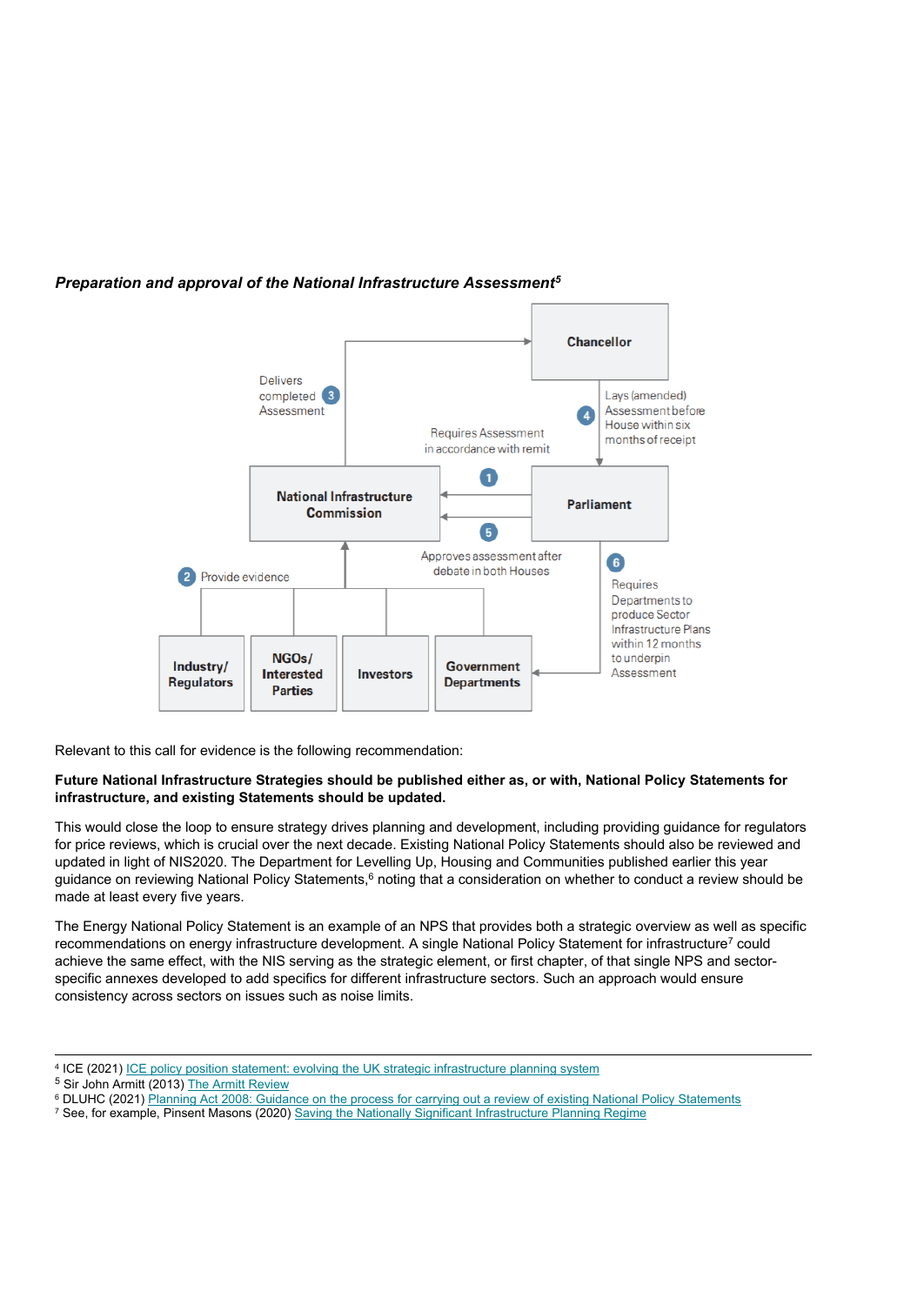

### *Preparation and approval of the National Infrastructure Assessment<sup>5</sup>*

Relevant to this call for evidence is the following recommendation:

#### **Future National Infrastructure Strategies should be published either as, or with, National Policy Statements for infrastructure, and existing Statements should be updated.**

This would close the loop to ensure strategy drives planning and development, including providing guidance for regulators for price reviews, which is crucial over the next decade. Existing National Policy Statements should also be reviewed and updated in light of NIS2020. The Department for Levelling Up, Housing and Communities published earlier this year guidance on reviewing National Policy Statements,<sup>6</sup> noting that a consideration on whether to conduct a review should be made at least every five years.

The Energy National Policy Statement is an example of an NPS that provides both a strategic overview as well as specific recommendations on energy infrastructure development. A single National Policy Statement for infrastructure<sup>7</sup> could achieve the same effect, with the NIS serving as the strategic element, or first chapter, of that single NPS and sectorspecific annexes developed to add specifics for different infrastructure sectors. Such an approach would ensure consistency across sectors on issues such as noise limits.

<sup>&</sup>lt;sup>4</sup> [ICE](https://www.ice.org.uk/news-and-insight/policy/uk-strategic-infrastructure-planning-system) (2021) ICE [policy](https://www.ice.org.uk/news-and-insight/policy/uk-strategic-infrastructure-planning-system) [position](https://www.ice.org.uk/news-and-insight/policy/uk-strategic-infrastructure-planning-system) [statement:](https://www.ice.org.uk/news-and-insight/policy/uk-strategic-infrastructure-planning-system) [evolving](https://www.ice.org.uk/news-and-insight/policy/uk-strategic-infrastructure-planning-system) [the](https://www.ice.org.uk/news-and-insight/policy/uk-strategic-infrastructure-planning-system) [UK](https://www.ice.org.uk/news-and-insight/policy/uk-strategic-infrastructure-planning-system) [strategic](https://www.ice.org.uk/news-and-insight/policy/uk-strategic-infrastructure-planning-system) [infrastructure](https://www.ice.org.uk/news-and-insight/policy/uk-strategic-infrastructure-planning-system) [planning](https://www.ice.org.uk/news-and-insight/policy/uk-strategic-infrastructure-planning-system) [system](https://www.ice.org.uk/news-and-insight/policy/uk-strategic-infrastructure-planning-system)

<sup>5</sup> Sir John Armitt (2013) [The](https://www.policyforum.labour.org.uk/uploads/editor/files/The_Armitt_Review_Final_Report.pdf) [Armitt](https://www.policyforum.labour.org.uk/uploads/editor/files/The_Armitt_Review_Final_Report.pdf) [Review](https://www.policyforum.labour.org.uk/uploads/editor/files/The_Armitt_Review_Final_Report.pdf)

<sup>6</sup> DLUHC (2021) [Planning](https://www.gov.uk/guidance/planning-act-2008-guidance-on-the-process-for-carrying-out-a-review-of-existing-national-policy-statements) [Act](https://www.gov.uk/guidance/planning-act-2008-guidance-on-the-process-for-carrying-out-a-review-of-existing-national-policy-statements) [2008:](https://www.gov.uk/guidance/planning-act-2008-guidance-on-the-process-for-carrying-out-a-review-of-existing-national-policy-statements) [Guidance](https://www.gov.uk/guidance/planning-act-2008-guidance-on-the-process-for-carrying-out-a-review-of-existing-national-policy-statements) [on](https://www.gov.uk/guidance/planning-act-2008-guidance-on-the-process-for-carrying-out-a-review-of-existing-national-policy-statements) [the](https://www.gov.uk/guidance/planning-act-2008-guidance-on-the-process-for-carrying-out-a-review-of-existing-national-policy-statements) [process](https://www.gov.uk/guidance/planning-act-2008-guidance-on-the-process-for-carrying-out-a-review-of-existing-national-policy-statements) [for](https://www.gov.uk/guidance/planning-act-2008-guidance-on-the-process-for-carrying-out-a-review-of-existing-national-policy-statements) [carrying](https://www.gov.uk/guidance/planning-act-2008-guidance-on-the-process-for-carrying-out-a-review-of-existing-national-policy-statements) [out](https://www.gov.uk/guidance/planning-act-2008-guidance-on-the-process-for-carrying-out-a-review-of-existing-national-policy-statements) [a](https://www.gov.uk/guidance/planning-act-2008-guidance-on-the-process-for-carrying-out-a-review-of-existing-national-policy-statements) [review](https://www.gov.uk/guidance/planning-act-2008-guidance-on-the-process-for-carrying-out-a-review-of-existing-national-policy-statements) [of](https://www.gov.uk/guidance/planning-act-2008-guidance-on-the-process-for-carrying-out-a-review-of-existing-national-policy-statements) [existing](https://www.gov.uk/guidance/planning-act-2008-guidance-on-the-process-for-carrying-out-a-review-of-existing-national-policy-statements) [National](https://www.gov.uk/guidance/planning-act-2008-guidance-on-the-process-for-carrying-out-a-review-of-existing-national-policy-statements) [Policy](https://www.gov.uk/guidance/planning-act-2008-guidance-on-the-process-for-carrying-out-a-review-of-existing-national-policy-statements) [Statements](https://www.gov.uk/guidance/planning-act-2008-guidance-on-the-process-for-carrying-out-a-review-of-existing-national-policy-statements)

<sup>7</sup> See, for example, Pinsent Masons (2020) [Saving](https://www.pinsentmasons.com/out-law/analysis/saving-nationally-significant-infrastructure-planning) [the](https://www.pinsentmasons.com/out-law/analysis/saving-nationally-significant-infrastructure-planning) [Nationally](https://www.pinsentmasons.com/out-law/analysis/saving-nationally-significant-infrastructure-planning) [Significant](https://www.pinsentmasons.com/out-law/analysis/saving-nationally-significant-infrastructure-planning) [Infrastructure](https://www.pinsentmasons.com/out-law/analysis/saving-nationally-significant-infrastructure-planning) [Planning](https://www.pinsentmasons.com/out-law/analysis/saving-nationally-significant-infrastructure-planning) [Regime](https://www.pinsentmasons.com/out-law/analysis/saving-nationally-significant-infrastructure-planning)